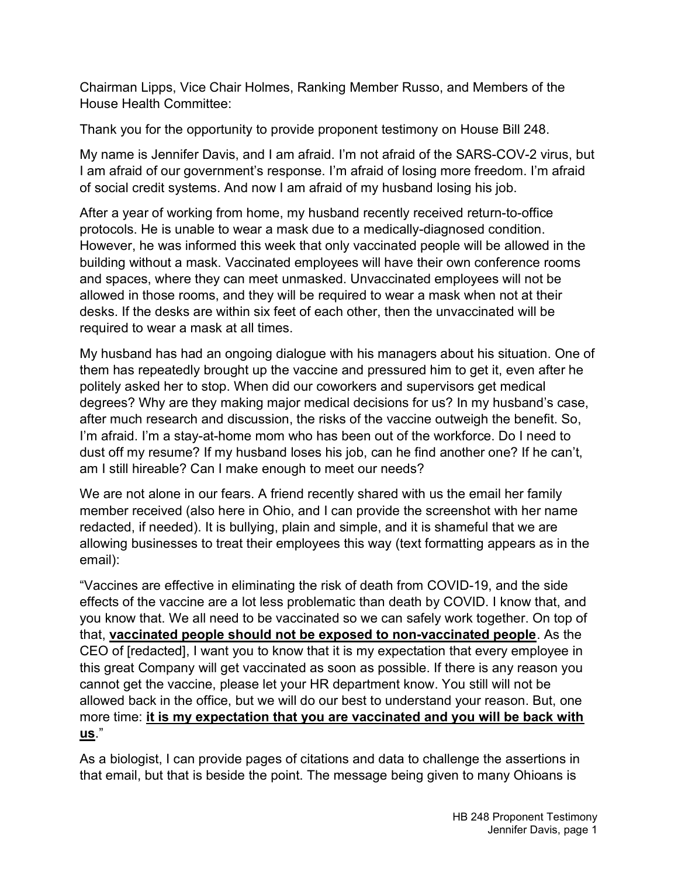Chairman Lipps, Vice Chair Holmes, Ranking Member Russo, and Members of the House Health Committee:

Thank you for the opportunity to provide proponent testimony on House Bill 248.

My name is Jennifer Davis, and I am afraid. I'm not afraid of the SARS-COV-2 virus, but I am afraid of our government's response. I'm afraid of losing more freedom. I'm afraid of social credit systems. And now I am afraid of my husband losing his job.

After a year of working from home, my husband recently received return-to-office protocols. He is unable to wear a mask due to a medically-diagnosed condition. However, he was informed this week that only vaccinated people will be allowed in the building without a mask. Vaccinated employees will have their own conference rooms and spaces, where they can meet unmasked. Unvaccinated employees will not be allowed in those rooms, and they will be required to wear a mask when not at their desks. If the desks are within six feet of each other, then the unvaccinated will be required to wear a mask at all times.

My husband has had an ongoing dialogue with his managers about his situation. One of them has repeatedly brought up the vaccine and pressured him to get it, even after he politely asked her to stop. When did our coworkers and supervisors get medical degrees? Why are they making major medical decisions for us? In my husband's case, after much research and discussion, the risks of the vaccine outweigh the benefit. So, I'm afraid. I'm a stay-at-home mom who has been out of the workforce. Do I need to dust off my resume? If my husband loses his job, can he find another one? If he can't, am I still hireable? Can I make enough to meet our needs?

We are not alone in our fears. A friend recently shared with us the email her family member received (also here in Ohio, and I can provide the screenshot with her name redacted, if needed). It is bullying, plain and simple, and it is shameful that we are allowing businesses to treat their employees this way (text formatting appears as in the email):

"Vaccines are effective in eliminating the risk of death from COVID-19, and the side effects of the vaccine are a lot less problematic than death by COVID. I know that, and you know that. We all need to be vaccinated so we can safely work together. On top of that, vaccinated people should not be exposed to non-vaccinated people. As the CEO of [redacted], I want you to know that it is my expectation that every employee in this great Company will get vaccinated as soon as possible. If there is any reason you cannot get the vaccine, please let your HR department know. You still will not be allowed back in the office, but we will do our best to understand your reason. But, one more time: it is my expectation that you are vaccinated and you will be back with us."

As a biologist, I can provide pages of citations and data to challenge the assertions in that email, but that is beside the point. The message being given to many Ohioans is